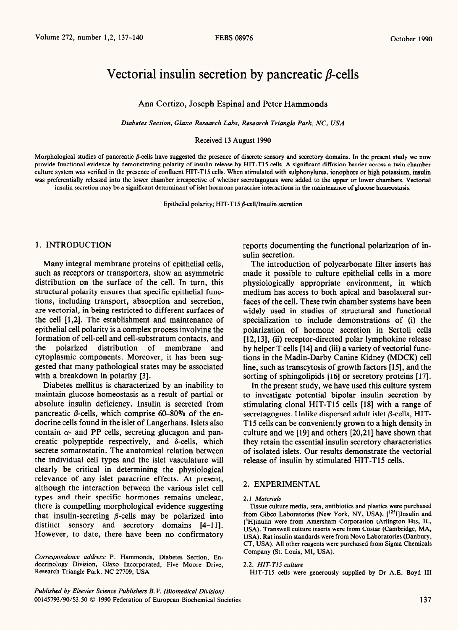# Vectorial insulin secretion by pancreatic  $\beta$ -cells

Ana Cortizo, Joseph Espinal and Peter Hammonds

*Diabetes Section, Glaxo Research Labs, Research Triangle Park, NC, USA* 

Received 13 August 1990

Morphological studies of pancreatic  $\beta$ -cells have suggested the presence of discrete sensory and secretory domains. In the present study we now provide functional evidence by demonstrating polarity of insulin release by HIT-T15 cells. A significant diffusion barrier across a twin chamber culture system was verified in the presence of confluent HIT-T15 cells. When stimulated with sulphonylurea, ionophore or high potassium, insulin was preferentially released into the lower chamber irrespective of whether secretagogues were added to the upper or lower chambers. Vectorial insulin secretion may be a significant determinant of islet hormone paracrine interactions in the maintenance of glucose homeostasis.

Epithelial polarity; HIT-T15  $\beta$ -cell/Insulin secretion

such as receptors or transporters, show an asymmetric made it possible to culture epithelial cells in a more distribution on the surface of the cell. In turn, this physiologically appropriate environment, in which structural polarity ensures that specific epithelial func-<br>tions, including transport, absorption and secretion, faces of the cell. These twin chamber systems have been are vectorial, in being restricted to different surfaces of widely used in studies of structural and functional the cell [1,2]. The establishment and maintenance of specialization to include demonstrations of (i) the epithelial cell polarity is a complex process involving the polarization of hormone secretion in Sertoli cells<br>formation of cell-cell and cell-substratum contacts, and [12.13]. (ii) receptor-directed polar lymphokine relea the polarized distribution of membrane and by helper T cells [ 141 and (iii) a variety of vectorial funccytoplasmic components. Moreover, it has been sug- tions in the Madin-Darby Canine Kidney (MDCK) cell gested that many pathological states may be associated line, such as transcytosis of growth factors [15], and the with a breakdown in polarity [3]. sorting of sphingolipids [16] or secretory proteins [17].

Diabetes mellitus is characterized by an inability to maintain glucose homeostasis as a result of partial or absolute insulin deficiency. Insulin is secreted from pancreatic  $\beta$ -cells, which comprise 60–80% of the endocrine cells found in the islet of Langerhans. Islets also contain  $\alpha$ - and PP cells, secreting glucagon and pancreatic polypeptide respectively, and  $\delta$ -cells, which secrete somatostatin. The anatomical relation between the individual cell types and the islet vasculature will clearly be critical in determining the physiological relevance of any islet paracrine effects. At present, although the interaction between the various islet cell types and their specific hormones remains unclear, there is compelling morphological evidence suggesting that insulin-secreting  $\beta$ -cells may be polarized into distinct sensory and secretory domains [4-11]. However, to date, there have been no confirmatory

*Correspondence address:* P. Hammonds, Diabetes Section, Endocrinology Division, Glaxo Incorporated, Five Moore Drive, Research Triangle Park, NC 27709, USA

1. INTRODUCTION reports documenting the functional polarization of insulin secretion.

Many integral membrane proteins of epithelial cells, The introduction of polycarbonate filter inserts has faces of the cell. These twin chamber systems have been  $[12, 13]$ , (ii) receptor-directed polar lymphokine release

In the present study, we have used this culture system to investigate potential bipolar insulin secretion by stimulating clonal HIT-T15 cells [18] with a range of secretagogues. Unlike dispersed adult islet  $\beta$ -cells, HIT-T15 cells can be conveniently grown to a high density in culture and we [19] and others [20,21] have shown that they retain the essential insulin secretory characteristics of isolated islets. Our results demonstrate the vectorial release of insulin by stimulated HIT-T15 cells.

# 2. EXPERIMENTAL

#### *2.1 Materials*

Tissue culture media, sera, antibiotics and plastics were purchased from Gibco Laboratories (New York, NY, USA). [<sup>125</sup>I]Insulin and [3H]inulin were from Amersham Corporation (Arlington Hts, IL, USA). Transwell culture inserts were from Costar (Cambridge, MA, USA). Rat insulin standards were from Novo Laboratories (Danbury, CT, USA). All other reagents were purchased from Sigma Chemicals Company (St. Louis, Ml, USA).

#### 2.2. *HIT-T15 culture*

HIT-T15 cells were generously supplied by Dr A.E. Boyd III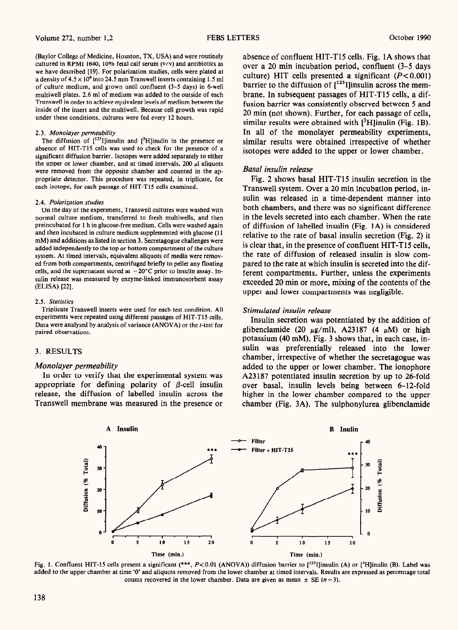(Baylor College of Medicine, Houston, TX, USA) and were routinely cultured in RPM1 1640, 10% fetal calf serum (v/v) and antibiotics as we have described [19]. For polarization studies, cells were plated at a density of  $4.5 \times 10^6$  into 24.5 mm Transwell inserts containing 1.5 ml of culture medium, and grown until confluent (3-5 days) in 6-well multiwell plates. 2.6 ml of medium was added to the outside of each Transwell in order to achieve equivalent levels of medium between the inside of the insert and the multiwell. Because cell growth was rapid under these conditions, cultures were fed every 12 hours.

#### 2.3. *Monolayer permeabiliiy*

The diffusion of  $[125]$  linsulin and  $[3H]$ inulin in the presence or absence of HIT-T15 cells was used to check for the presence of a significant diffusion barrier. isotopes were added separately to either the upper or lower chamber, and at timed intervals, 200  $\mu$ l aliquots were removed from the opposite chamber and counted in the appropriate detector. This procedure was repeated, in triplicate, for each isotope, for each passage of HIT-T15 cells examined.

#### 2.4. *Polarization studies*

*On* the day of the experiment, Transwell cultures were washed with normal culture medium, transferred to fresh multiwells, and then preincubated for 1 h in glucose-free medium. Cells were washed again and then incubated in culture medium supplemented with glucose (11 mM) and additions as listed in section 3. Secretagogue challenges were added independently to the top or bottom compartment of the culture system. At timed intervals, equivalent aliquots of media were removed from both compartments, centrifuged briefly to pellet any floating cells, and the supernatant stored at  $-20^{\circ}$ C prior to insulin assay. Insulin release was measured by enzyme-linked immunosorbent assay (ELISA) [22].

#### 2.5. *Statistics*

Triplicate Transwell inserts were used for each test condition. All experiments were repeated using different passages of HIT-T15 cells. Data were analysed by analysis of variance (ANOVA) or the t-test for paired observations.

# 3. RESULTS

#### *Monolayer permeability*

In order to verify that the experimental system was appropriate for defining polarity of  $\beta$ -cell insulin release, the diffusion of labelled insulin across the Transwell membrane was measured in the presence or

absence of confluent HIT-T15 cells. Fig. 1A shows that over a 20 min incubation period, confluent (3-5 days culture) HIT cells presented a significant  $(P<0.001)$ barrier to the diffusion of  $[<sup>125</sup>$ I]insulin across the membrane. In subsequent passages of HIT-T15 cells, a diffusion barrier was consistently observed between 5 and 20 min (not shown). Further, for each passage of cells, similar results were obtained with  $[3H]$ inulin (Fig. 1B). In all of the monolayer permeability experiments, similar results were obtained irrespective of whether isotopes were added to the upper or lower chamber.

#### *Basal insulin release*

Fig. 2 shows basal HIT-T15 insulin secretion in the Transwell system. Over a 20 min incubation period, insulin was released in a time-dependent manner into both chambers, and there was no significant difference in the levels secreted into each chamber. When the rate of diffusion of labelled insulin (Fig. 1A) is considered relative to the rate of basal insulin secretion (Fig. 2) it is clear that, in the presence of confluent HIT-T15 cells, the rate of diffusion of released insulin is slow compared to the rate at which insulin is secreted into the different compartments. Further, unless the experiments exceeded 20 min or more, mixing of the contents of the upper and lower compartments was negligible,

#### *Stimulated insulin release*

Insulin secretion was potentiated by the addition of glibenclamide (20  $\mu$ g/ml), A23187 (4  $\mu$ M) or high potassium (40 mM). Fig. 3 shows that, in each case, insulin was preferentially released into the lower chamber, irrespective of whether the secretagogue was added to the upper or lower chamber. The ionophore A23 187 potentiated insulin secretion by up to 26-fold over basal, insulin levels being between 6-12-fold higher in the lower chamber compared to the upper chamber (Fig. 3A). The sulphonylurea glibenclamide



Fig. 1. Confluent HIT-15 cells present a significant (\*\*\*, P<0.01 (ANOVA)) diffusion barrier to [<sup>125</sup>I]insulin (A) or [<sup>3</sup>H]inulin (B). Label was added to the upper chamber at time '0' and aliquots removed from the lower chamber at timed intervals. Results are expressed as percentage total counts recovered in the lower chamber. Data are given as mean  $\pm$  SE (n = 3).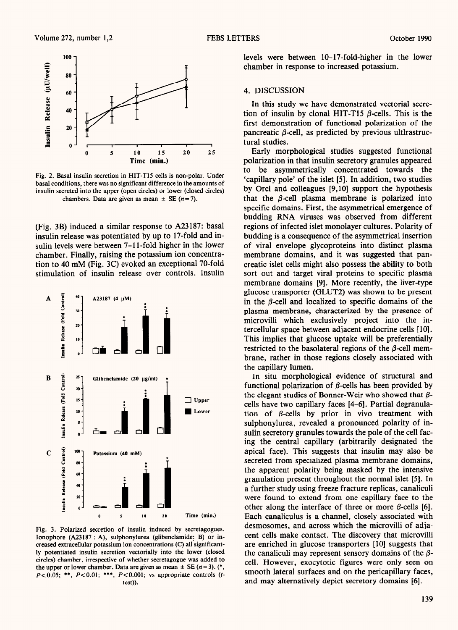

Fig. 2. Basal insulin secretion in HIT-T15 cells is non-polar. Under basal conditions, there was no significant difference in the amounts of insulin secreted into the upper (open circles) or lower (closed circles) chambers. Data are given as mean  $\pm$  SE (n = 7).

(Fig. 3B) induced a similar response to A23187: basal insulin release was potentiated by up to 17-fold and insulin levels were between 7-l l-fold higher in the lower chamber. Finally, raising the potassium ion concentration to 40 mM (Fig. 3C) evoked an exceptional 70-fold stimulation of insulin release over controls. Insulin



Fig. 3. Polarized secretion of insulin induced by secretagogues. Ionophore (A23187 : A), sulphonylurea (glibenclamide: B) or increased extracellular potassium ion concentrations (C) all'significantly potentiated insulin secretion vectorially into the lower (closed circles) chamber, irrespective of whether secretagogue was added to the upper or lower chamber. Data are given as mean  $\pm$  SE (n = 3). (\*,  $P < 0.05$ ; \*\*,  $P < 0.01$ ; \*\*\*,  $P < 0.001$ ; vs appropriate controls (ttest)).

levels were between 10-17-fold-higher in the lower chamber in response to increased potassium.

### 4. DISCUSSION

In this study we have demonstrated vectorial secretion of insulin by clonal HIT-T15  $\beta$ -cells. This is the first demonstration of functional polarization of the pancreatic  $\beta$ -cell, as predicted by previous ultirastructural studies.

Early morphological studies suggested functional polarization in that insulin secretory granules appeared to be asymmetrically concentrated towards the 'capillary pole' of the islet [5]. In addition, two studies by Orci and colleagues [9,10] support the hypothesis that the  $\beta$ -cell plasma membrane is polarized into specific domains. First, the asymmetrical emergence of budding RNA viruses was observed from different regions of infected islet monolayer cultures. Polarity of budding is a consequence of the asymmetrical insertion of viral envelope glycoproteins into distinct plasma membrane domains, and it was suggested that pancreatic islet cells might also possess the ability to both sort out and target viral proteins to specific plasma membrane domains [9]. More recently, the liver-type glucose transporter (GLUT2) was shown to be present in the  $\beta$ -cell and localized to specific domains of the plasma membrane, characterized by the presence of microvilli which exclusively project into the intercellular space between adjacent endocrine cells [lo]. This implies that glucose uptake will be preferentially restricted to the basolateral regions of the  $\beta$ -cell membrane, rather in those regions closely associated with the capillary lumen.

In situ morphological evidence of structural and functional polarization of  $\beta$ -cells has been provided by the elegant studies of Bonner-Weir who showed that  $\beta$ cells have two capillary faces [4-61. Partial degranulation of  $\beta$ -cells by prior in vivo treatment with sulphonylurea, revealed a pronounced polarity of insulin secretory granules towards the pole of the cell facing the central capillary (arbitrarily designated the apical face). This suggests that insulin may also be secreted from specialized plasma membrane domains, the apparent polarity being masked by the intensive granulation present throughout the normal islet [5]. In a further study using freeze fracture replicas, canaliculi were found to extend from one capillary face to the other along the interface of three or more  $\beta$ -cells [6]. Each canaliculus is a channel, closely associated with desmosomes, and across which the microvilli of adjacent cells make contact. The discovery that microvilli are enriched in glucose transporters [IO] suggests that the canaliculi may represent sensory domains of the  $\beta$ cell. However, exocytotic figures were only seen on smooth lateral surfaces and on the pericapillary faces, and may alternatively depict secretory domains [6].